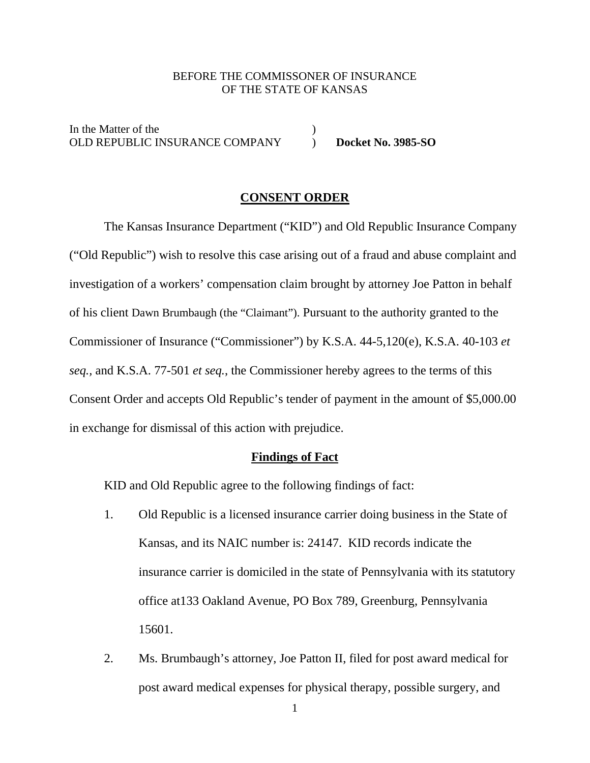#### BEFORE THE COMMISSONER OF INSURANCE OF THE STATE OF KANSAS

In the Matter of the  $($ OLD REPUBLIC INSURANCE COMPANY ) **Docket No. 3985-SO** 

### **CONSENT ORDER**

 The Kansas Insurance Department ("KID") and Old Republic Insurance Company ("Old Republic") wish to resolve this case arising out of a fraud and abuse complaint and investigation of a workers' compensation claim brought by attorney Joe Patton in behalf of his client Dawn Brumbaugh (the "Claimant"). Pursuant to the authority granted to the Commissioner of Insurance ("Commissioner") by K.S.A. 44-5,120(e), K.S.A. 40-103 *et seq.,* and K.S.A. 77-501 *et seq.*, the Commissioner hereby agrees to the terms of this Consent Order and accepts Old Republic's tender of payment in the amount of \$5,000.00 in exchange for dismissal of this action with prejudice.

#### **Findings of Fact**

KID and Old Republic agree to the following findings of fact:

- 1. Old Republic is a licensed insurance carrier doing business in the State of Kansas, and its NAIC number is: 24147. KID records indicate the insurance carrier is domiciled in the state of Pennsylvania with its statutory office at133 Oakland Avenue, PO Box 789, Greenburg, Pennsylvania 15601.
- 2. Ms. Brumbaugh's attorney, Joe Patton II, filed for post award medical for post award medical expenses for physical therapy, possible surgery, and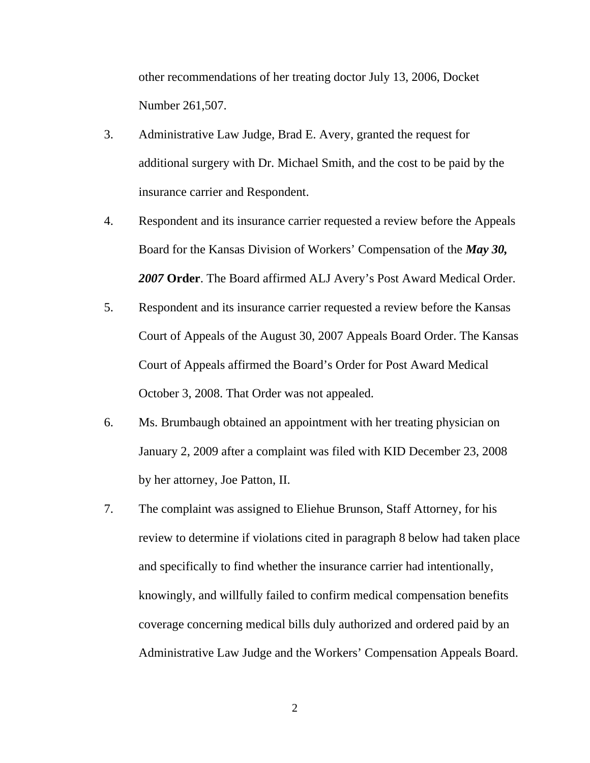other recommendations of her treating doctor July 13, 2006, Docket Number 261,507.

- 3. Administrative Law Judge, Brad E. Avery, granted the request for additional surgery with Dr. Michael Smith, and the cost to be paid by the insurance carrier and Respondent.
- 4. Respondent and its insurance carrier requested a review before the Appeals Board for the Kansas Division of Workers' Compensation of the *May 30, 2007* **Order**. The Board affirmed ALJ Avery's Post Award Medical Order.
- 5. Respondent and its insurance carrier requested a review before the Kansas Court of Appeals of the August 30, 2007 Appeals Board Order. The Kansas Court of Appeals affirmed the Board's Order for Post Award Medical October 3, 2008. That Order was not appealed.
- 6. Ms. Brumbaugh obtained an appointment with her treating physician on January 2, 2009 after a complaint was filed with KID December 23, 2008 by her attorney, Joe Patton, II.
- 7. The complaint was assigned to Eliehue Brunson, Staff Attorney, for his review to determine if violations cited in paragraph 8 below had taken place and specifically to find whether the insurance carrier had intentionally, knowingly, and willfully failed to confirm medical compensation benefits coverage concerning medical bills duly authorized and ordered paid by an Administrative Law Judge and the Workers' Compensation Appeals Board.

2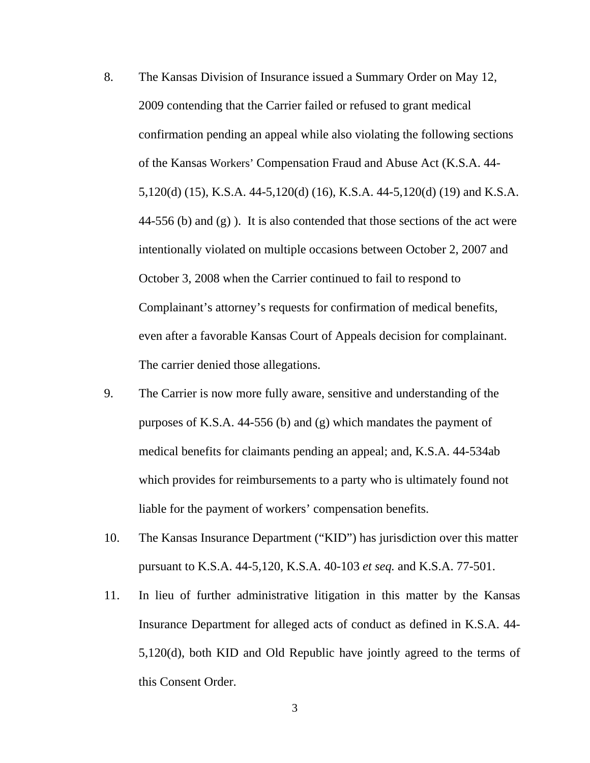- 8. The Kansas Division of Insurance issued a Summary Order on May 12, 2009 contending that the Carrier failed or refused to grant medical confirmation pending an appeal while also violating the following sections of the Kansas Workers' Compensation Fraud and Abuse Act (K.S.A. 44- 5,120(d) (15), K.S.A. 44-5,120(d) (16), K.S.A. 44-5,120(d) (19) and K.S.A. 44-556 (b) and  $(g)$ ). It is also contended that those sections of the act were intentionally violated on multiple occasions between October 2, 2007 and October 3, 2008 when the Carrier continued to fail to respond to Complainant's attorney's requests for confirmation of medical benefits, even after a favorable Kansas Court of Appeals decision for complainant. The carrier denied those allegations.
- 9. The Carrier is now more fully aware, sensitive and understanding of the purposes of K.S.A. 44-556 (b) and (g) which mandates the payment of medical benefits for claimants pending an appeal; and, K.S.A. 44-534ab which provides for reimbursements to a party who is ultimately found not liable for the payment of workers' compensation benefits.
- 10. The Kansas Insurance Department ("KID") has jurisdiction over this matter pursuant to K.S.A. 44-5,120, K.S.A. 40-103 *et seq.* and K.S.A. 77-501.
- 11. In lieu of further administrative litigation in this matter by the Kansas Insurance Department for alleged acts of conduct as defined in K.S.A. 44- 5,120(d), both KID and Old Republic have jointly agreed to the terms of this Consent Order.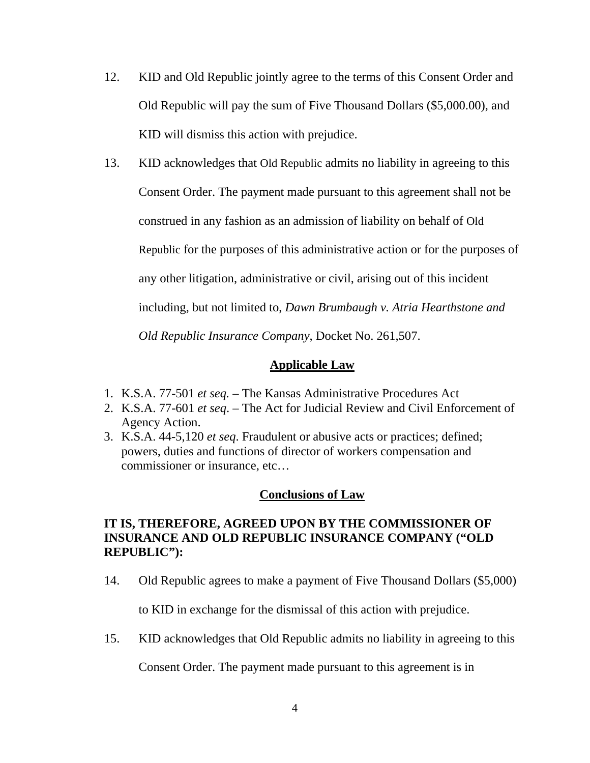12. KID and Old Republic jointly agree to the terms of this Consent Order and Old Republic will pay the sum of Five Thousand Dollars (\$5,000.00), and KID will dismiss this action with prejudice.

13. KID acknowledges that Old Republic admits no liability in agreeing to this Consent Order. The payment made pursuant to this agreement shall not be construed in any fashion as an admission of liability on behalf of Old Republic for the purposes of this administrative action or for the purposes of any other litigation, administrative or civil, arising out of this incident including, but not limited to, *Dawn Brumbaugh v. Atria Hearthstone and Old Republic Insurance Company*, Docket No. 261,507.

## **Applicable Law**

- 1. K.S.A. 77-501 *et seq.*  The Kansas Administrative Procedures Act
- 2. K.S.A. 77-601 *et seq*. The Act for Judicial Review and Civil Enforcement of Agency Action.
- 3. K.S.A. 44-5,120 *et seq*. Fraudulent or abusive acts or practices; defined; powers, duties and functions of director of workers compensation and commissioner or insurance, etc…

## **Conclusions of Law**

# **IT IS, THEREFORE, AGREED UPON BY THE COMMISSIONER OF INSURANCE AND OLD REPUBLIC INSURANCE COMPANY ("OLD REPUBLIC"):**

14. Old Republic agrees to make a payment of Five Thousand Dollars (\$5,000)

to KID in exchange for the dismissal of this action with prejudice.

15. KID acknowledges that Old Republic admits no liability in agreeing to this

Consent Order. The payment made pursuant to this agreement is in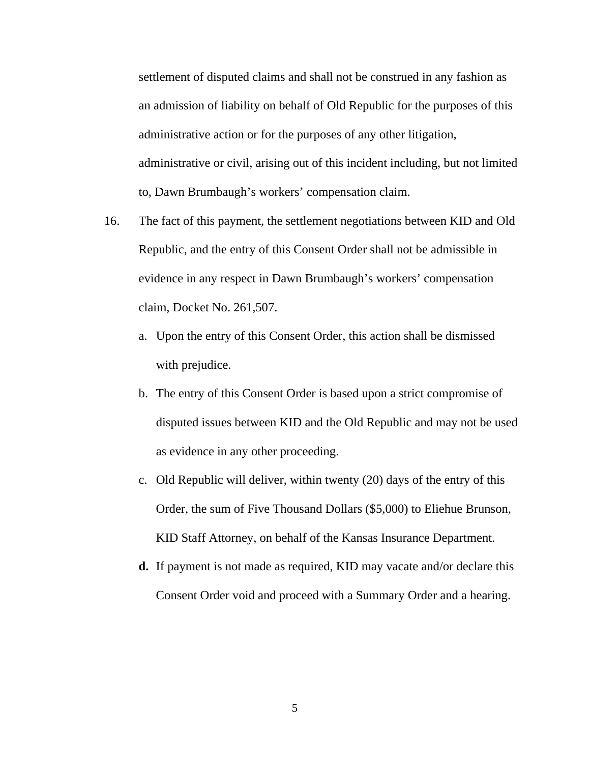settlement of disputed claims and shall not be construed in any fashion as an admission of liability on behalf of Old Republic for the purposes of this administrative action or for the purposes of any other litigation, administrative or civil, arising out of this incident including, but not limited to, Dawn Brumbaugh's workers' compensation claim.

- 16. The fact of this payment, the settlement negotiations between KID and Old Republic, and the entry of this Consent Order shall not be admissible in evidence in any respect in Dawn Brumbaugh's workers' compensation claim, Docket No. 261,507.
	- a. Upon the entry of this Consent Order, this action shall be dismissed with prejudice.
	- b. The entry of this Consent Order is based upon a strict compromise of disputed issues between KID and the Old Republic and may not be used as evidence in any other proceeding.
	- c. Old Republic will deliver, within twenty (20) days of the entry of this Order, the sum of Five Thousand Dollars (\$5,000) to Eliehue Brunson, KID Staff Attorney, on behalf of the Kansas Insurance Department.
	- **d.** If payment is not made as required, KID may vacate and/or declare this Consent Order void and proceed with a Summary Order and a hearing.